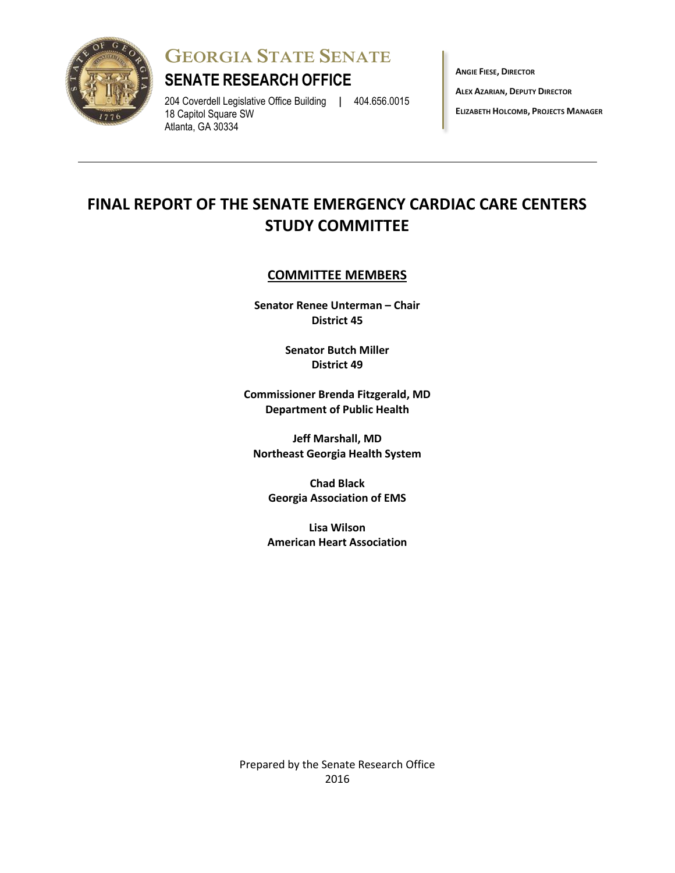

**GEORGIA STATE SENATE**

## **SENATE RESEARCH OFFICE**

204 Coverdell Legislative Office Building **|** 404.656.0015 18 Capitol Square SW Atlanta, GA 30334

**ANGIE FIESE, DIRECTOR**

**ALEX AZARIAN, DEPUTY DIRECTOR**

**ELIZABETH HOLCOMB, PROJECTS MANAGER**

# **FINAL REPORT OF THE SENATE EMERGENCY CARDIAC CARE CENTERS STUDY COMMITTEE**

## **COMMITTEE MEMBERS**

**Senator Renee Unterman – Chair District 45**

> **Senator Butch Miller District 49**

**Commissioner Brenda Fitzgerald, MD Department of Public Health** 

**Jeff Marshall, MD Northeast Georgia Health System**

**Chad Black Georgia Association of EMS** 

**Lisa Wilson American Heart Association**

Prepared by the Senate Research Office 2016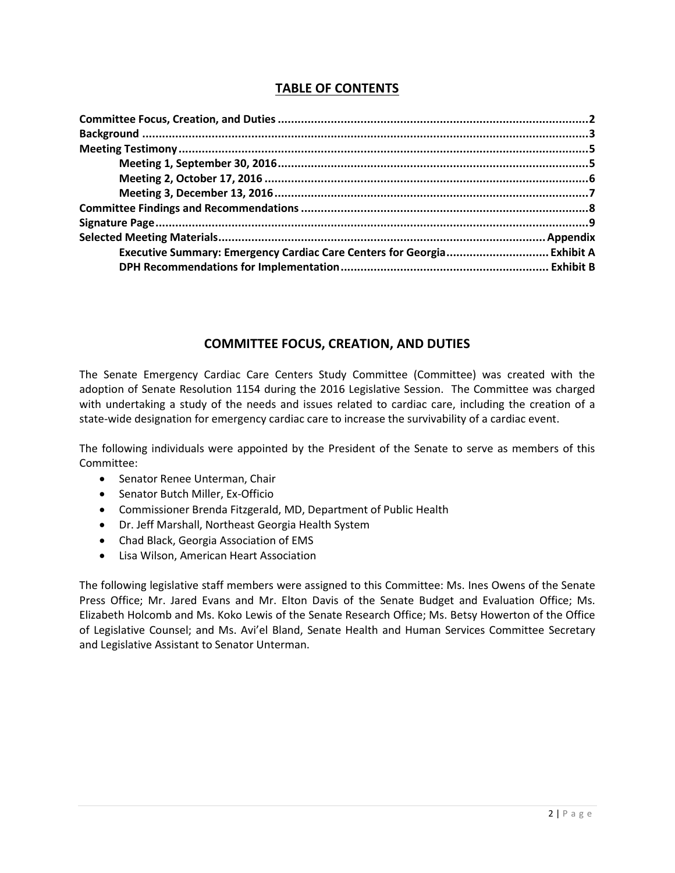## **TABLE OF CONTENTS**

| Executive Summary: Emergency Cardiac Care Centers for Georgia Exhibit A |  |
|-------------------------------------------------------------------------|--|
|                                                                         |  |
|                                                                         |  |

## **COMMITTEE FOCUS, CREATION, AND DUTIES**

The Senate Emergency Cardiac Care Centers Study Committee (Committee) was created with the adoption of Senate Resolution 1154 during the 2016 Legislative Session. The Committee was charged with undertaking a study of the needs and issues related to cardiac care, including the creation of a state-wide designation for emergency cardiac care to increase the survivability of a cardiac event.

The following individuals were appointed by the President of the Senate to serve as members of this Committee:

- Senator Renee Unterman, Chair
- Senator Butch Miller, Ex-Officio
- Commissioner Brenda Fitzgerald, MD, Department of Public Health
- Dr. Jeff Marshall, Northeast Georgia Health System
- Chad Black, Georgia Association of EMS
- Lisa Wilson, American Heart Association

The following legislative staff members were assigned to this Committee: Ms. Ines Owens of the Senate Press Office; Mr. Jared Evans and Mr. Elton Davis of the Senate Budget and Evaluation Office; Ms. Elizabeth Holcomb and Ms. Koko Lewis of the Senate Research Office; Ms. Betsy Howerton of the Office of Legislative Counsel; and Ms. Avi'el Bland, Senate Health and Human Services Committee Secretary and Legislative Assistant to Senator Unterman.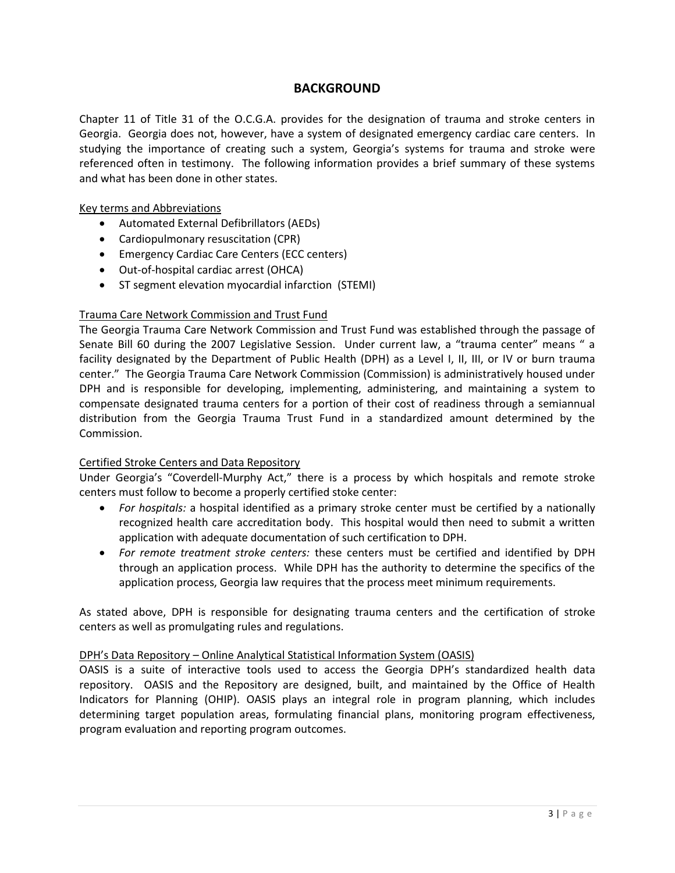### **BACKGROUND**

Chapter 11 of Title 31 of the O.C.G.A. provides for the designation of trauma and stroke centers in Georgia. Georgia does not, however, have a system of designated emergency cardiac care centers. In studying the importance of creating such a system, Georgia's systems for trauma and stroke were referenced often in testimony. The following information provides a brief summary of these systems and what has been done in other states.

#### Key terms and Abbreviations

- Automated External Defibrillators (AEDs)
- Cardiopulmonary resuscitation (CPR)
- **Emergency Cardiac Care Centers (ECC centers)**
- Out-of-hospital cardiac arrest (OHCA)
- ST segment elevation myocardial infarction (STEMI)

#### Trauma Care Network Commission and Trust Fund

The Georgia Trauma Care Network Commission and Trust Fund was established through the passage of Senate Bill 60 during the 2007 Legislative Session. Under current law, a "trauma center" means " a facility designated by the Department of Public Health (DPH) as a Level I, II, III, or IV or burn trauma center." The Georgia Trauma Care Network Commission (Commission) is administratively housed under DPH and is responsible for developing, implementing, administering, and maintaining a system to compensate designated trauma centers for a portion of their cost of readiness through a semiannual distribution from the Georgia Trauma Trust Fund in a standardized amount determined by the Commission.

#### Certified Stroke Centers and Data Repository

Under Georgia's "Coverdell-Murphy Act," there is a process by which hospitals and remote stroke centers must follow to become a properly certified stoke center:

- *For hospitals:* a hospital identified as a primary stroke center must be certified by a nationally recognized health care accreditation body. This hospital would then need to submit a written application with adequate documentation of such certification to DPH.
- *For remote treatment stroke centers:* these centers must be certified and identified by DPH through an application process. While DPH has the authority to determine the specifics of the application process, Georgia law requires that the process meet minimum requirements.

As stated above, DPH is responsible for designating trauma centers and the certification of stroke centers as well as promulgating rules and regulations.

#### DPH's Data Repository – Online Analytical Statistical Information System (OASIS)

OASIS is a suite of interactive tools used to access the Georgia DPH's standardized health data repository. OASIS and the Repository are designed, built, and maintained by the Office of Health Indicators for Planning (OHIP). OASIS plays an integral role in program planning, which includes determining target population areas, formulating financial plans, monitoring program effectiveness, program evaluation and reporting program outcomes.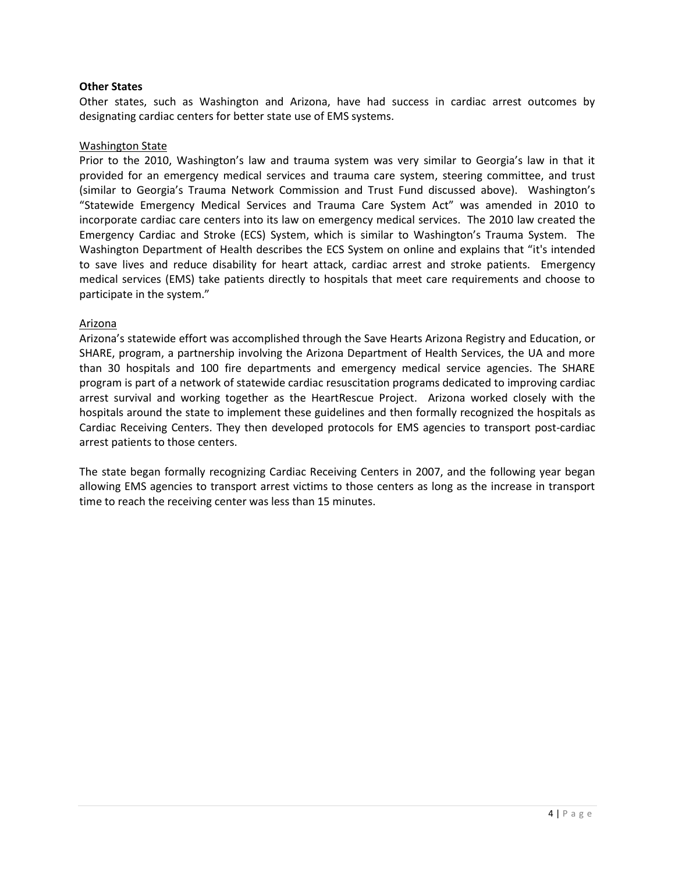#### **Other States**

Other states, such as Washington and Arizona, have had success in cardiac arrest outcomes by designating cardiac centers for better state use of EMS systems.

#### Washington State

Prior to the 2010, Washington's law and trauma system was very similar to Georgia's law in that it provided for an emergency medical services and trauma care system, steering committee, and trust (similar to Georgia's Trauma Network Commission and Trust Fund discussed above). Washington's "Statewide Emergency Medical Services and Trauma Care System Act" was amended in 2010 to incorporate cardiac care centers into its law on emergency medical services. The 2010 law created the Emergency Cardiac and Stroke (ECS) System, which is similar to Washington's Trauma System. The Washington Department of Health describes the ECS System on online and explains that "it's intended to save lives and reduce disability for heart attack, cardiac arrest and stroke patients. Emergency medical services (EMS) take patients directly to hospitals that meet care requirements and choose to participate in the system."

#### Arizona

Arizona's statewide effort was accomplished through the Save Hearts Arizona Registry and Education, or SHARE, program, a partnership involving the Arizona Department of Health Services, the UA and more than 30 hospitals and 100 fire departments and emergency medical service agencies. The SHARE program is part of a network of statewide cardiac resuscitation programs dedicated to improving cardiac arrest survival and working together as the HeartRescue Project. Arizona worked closely with the hospitals around the state to implement these guidelines and then formally recognized the hospitals as Cardiac Receiving Centers. They then developed protocols for EMS agencies to transport post-cardiac arrest patients to those centers.

The state began formally recognizing Cardiac Receiving Centers in 2007, and the following year began allowing EMS agencies to transport arrest victims to those centers as long as the increase in transport time to reach the receiving center was less than 15 minutes.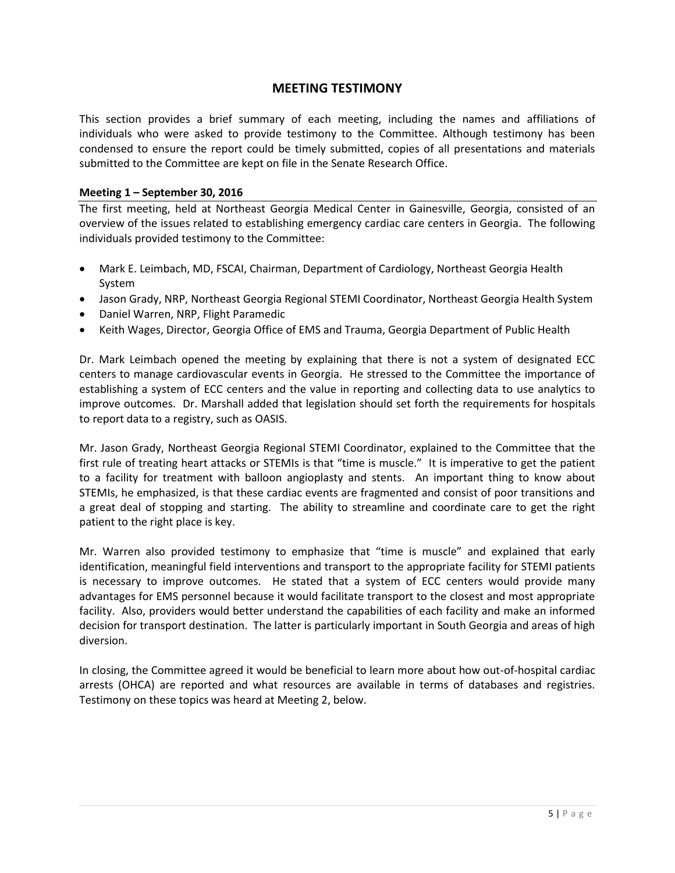### **MEETING TESTIMONY**

This section provides a brief summary of each meeting, including the names and affiliations of individuals who were asked to provide testimony to the Committee. Although testimony has been condensed to ensure the report could be timely submitted, copies of all presentations and materials submitted to the Committee are kept on file in the Senate Research Office.

#### **Meeting 1 – September 30, 2016**

The first meeting, held at Northeast Georgia Medical Center in Gainesville, Georgia, consisted of an overview of the issues related to establishing emergency cardiac care centers in Georgia. The following individuals provided testimony to the Committee:

- Mark E. Leimbach, MD, FSCAI, Chairman, Department of Cardiology, Northeast Georgia Health System
- Jason Grady, NRP, Northeast Georgia Regional STEMI Coordinator, Northeast Georgia Health System
- Daniel Warren, NRP, Flight Paramedic
- Keith Wages, Director, Georgia Office of EMS and Trauma, Georgia Department of Public Health

Dr. Mark Leimbach opened the meeting by explaining that there is not a system of designated ECC centers to manage cardiovascular events in Georgia. He stressed to the Committee the importance of establishing a system of ECC centers and the value in reporting and collecting data to use analytics to improve outcomes. Dr. Marshall added that legislation should set forth the requirements for hospitals to report data to a registry, such as OASIS.

Mr. Jason Grady, Northeast Georgia Regional STEMI Coordinator, explained to the Committee that the first rule of treating heart attacks or STEMIs is that "time is muscle." It is imperative to get the patient to a facility for treatment with balloon angioplasty and stents. An important thing to know about STEMIs, he emphasized, is that these cardiac events are fragmented and consist of poor transitions and a great deal of stopping and starting. The ability to streamline and coordinate care to get the right patient to the right place is key.

Mr. Warren also provided testimony to emphasize that "time is muscle" and explained that early identification, meaningful field interventions and transport to the appropriate facility for STEMI patients is necessary to improve outcomes. He stated that a system of ECC centers would provide many advantages for EMS personnel because it would facilitate transport to the closest and most appropriate facility. Also, providers would better understand the capabilities of each facility and make an informed decision for transport destination. The latter is particularly important in South Georgia and areas of high diversion.

In closing, the Committee agreed it would be beneficial to learn more about how out-of-hospital cardiac arrests (OHCA) are reported and what resources are available in terms of databases and registries. Testimony on these topics was heard at Meeting 2, below.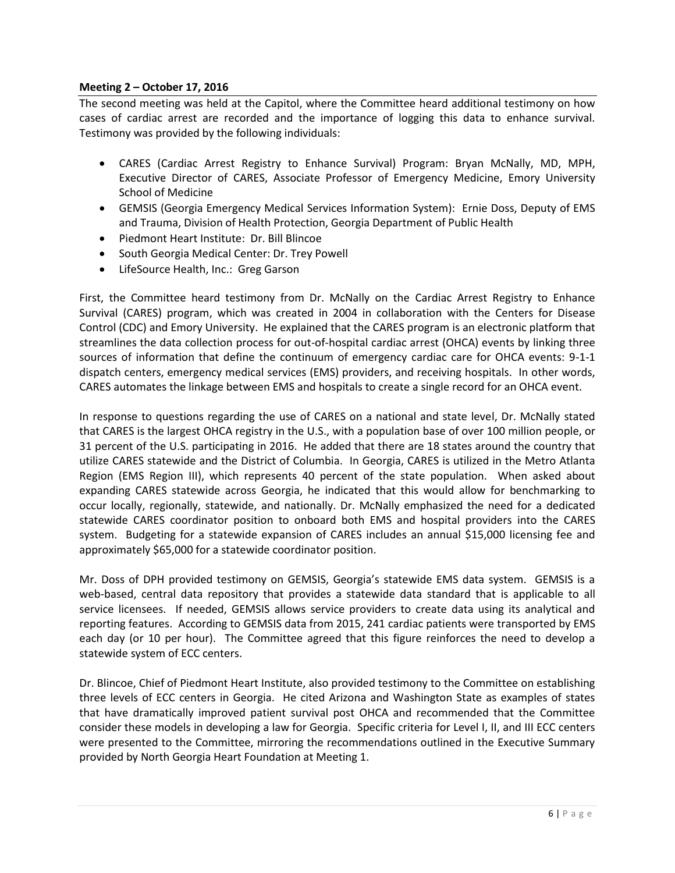#### **Meeting 2 – October 17, 2016**

The second meeting was held at the Capitol, where the Committee heard additional testimony on how cases of cardiac arrest are recorded and the importance of logging this data to enhance survival. Testimony was provided by the following individuals:

- CARES (Cardiac Arrest Registry to Enhance Survival) Program: Bryan McNally, MD, MPH, Executive Director of CARES, Associate Professor of Emergency Medicine, Emory University School of Medicine
- GEMSIS (Georgia Emergency Medical Services Information System): Ernie Doss, Deputy of EMS and Trauma, Division of Health Protection, Georgia Department of Public Health
- Piedmont Heart Institute: Dr. Bill Blincoe
- South Georgia Medical Center: Dr. Trey Powell
- LifeSource Health, Inc.: Greg Garson

First, the Committee heard testimony from Dr. McNally on the Cardiac Arrest Registry to Enhance Survival (CARES) program, which was created in 2004 in collaboration with the Centers for Disease Control (CDC) and Emory University. He explained that the CARES program is an electronic platform that streamlines the data collection process for out-of-hospital cardiac arrest (OHCA) events by linking three sources of information that define the continuum of emergency cardiac care for OHCA events: 9-1-1 dispatch centers, emergency medical services (EMS) providers, and receiving hospitals. In other words, CARES automates the linkage between EMS and hospitals to create a single record for an OHCA event.

In response to questions regarding the use of CARES on a national and state level, Dr. McNally stated that CARES is the largest OHCA registry in the U.S., with a population base of over 100 million people, or 31 percent of the U.S. participating in 2016. He added that there are 18 states around the country that utilize CARES statewide and the District of Columbia. In Georgia, CARES is utilized in the Metro Atlanta Region (EMS Region III), which represents 40 percent of the state population. When asked about expanding CARES statewide across Georgia, he indicated that this would allow for benchmarking to occur locally, regionally, statewide, and nationally. Dr. McNally emphasized the need for a dedicated statewide CARES coordinator position to onboard both EMS and hospital providers into the CARES system. Budgeting for a statewide expansion of CARES includes an annual \$15,000 licensing fee and approximately \$65,000 for a statewide coordinator position.

Mr. Doss of DPH provided testimony on GEMSIS, Georgia's statewide EMS data system. GEMSIS is a web-based, central data repository that provides a statewide data standard that is applicable to all service licensees. If needed, GEMSIS allows service providers to create data using its analytical and reporting features. According to GEMSIS data from 2015, 241 cardiac patients were transported by EMS each day (or 10 per hour). The Committee agreed that this figure reinforces the need to develop a statewide system of ECC centers.

Dr. Blincoe, Chief of Piedmont Heart Institute, also provided testimony to the Committee on establishing three levels of ECC centers in Georgia. He cited Arizona and Washington State as examples of states that have dramatically improved patient survival post OHCA and recommended that the Committee consider these models in developing a law for Georgia. Specific criteria for Level I, II, and III ECC centers were presented to the Committee, mirroring the recommendations outlined in the Executive Summary provided by North Georgia Heart Foundation at Meeting 1.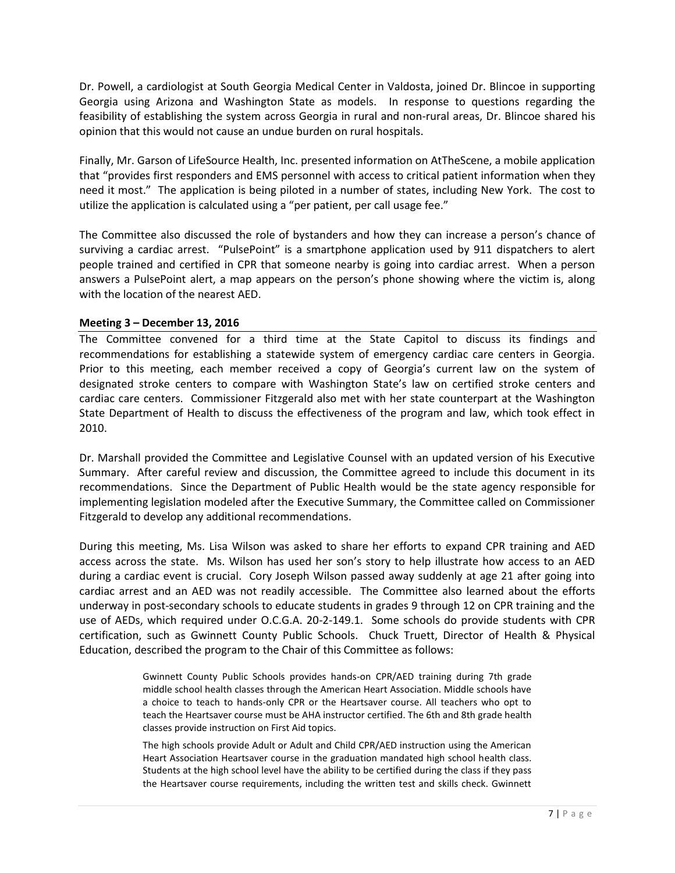Dr. Powell, a cardiologist at South Georgia Medical Center in Valdosta, joined Dr. Blincoe in supporting Georgia using Arizona and Washington State as models. In response to questions regarding the feasibility of establishing the system across Georgia in rural and non-rural areas, Dr. Blincoe shared his opinion that this would not cause an undue burden on rural hospitals.

Finally, Mr. Garson of LifeSource Health, Inc. presented information on AtTheScene, a mobile application that "provides first responders and EMS personnel with access to critical patient information when they need it most." The application is being piloted in a number of states, including New York. The cost to utilize the application is calculated using a "per patient, per call usage fee."

The Committee also discussed the role of bystanders and how they can increase a person's chance of surviving a cardiac arrest. "PulsePoint" is a smartphone application used by 911 dispatchers to alert people trained and certified in CPR that someone nearby is going into cardiac arrest. When a person answers a PulsePoint alert, a map appears on the person's phone showing where the victim is, along with the location of the nearest AED.

#### **Meeting 3 – December 13, 2016**

The Committee convened for a third time at the State Capitol to discuss its findings and recommendations for establishing a statewide system of emergency cardiac care centers in Georgia. Prior to this meeting, each member received a copy of Georgia's current law on the system of designated stroke centers to compare with Washington State's law on certified stroke centers and cardiac care centers. Commissioner Fitzgerald also met with her state counterpart at the Washington State Department of Health to discuss the effectiveness of the program and law, which took effect in 2010.

Dr. Marshall provided the Committee and Legislative Counsel with an updated version of his Executive Summary. After careful review and discussion, the Committee agreed to include this document in its recommendations. Since the Department of Public Health would be the state agency responsible for implementing legislation modeled after the Executive Summary, the Committee called on Commissioner Fitzgerald to develop any additional recommendations.

During this meeting, Ms. Lisa Wilson was asked to share her efforts to expand CPR training and AED access across the state. Ms. Wilson has used her son's story to help illustrate how access to an AED during a cardiac event is crucial. Cory Joseph Wilson passed away suddenly at age 21 after going into cardiac arrest and an AED was not readily accessible. The Committee also learned about the efforts underway in post-secondary schools to educate students in grades 9 through 12 on CPR training and the use of AEDs, which required under O.C.G.A. 20-2-149.1. Some schools do provide students with CPR certification, such as Gwinnett County Public Schools. Chuck Truett, Director of Health & Physical Education, described the program to the Chair of this Committee as follows:

> Gwinnett County Public Schools provides hands-on CPR/AED training during 7th grade middle school health classes through the American Heart Association. Middle schools have a choice to teach to hands-only CPR or the Heartsaver course. All teachers who opt to teach the Heartsaver course must be AHA instructor certified. The 6th and 8th grade health classes provide instruction on First Aid topics.

> The high schools provide Adult or Adult and Child CPR/AED instruction using the American Heart Association Heartsaver course in the graduation mandated high school health class. Students at the high school level have the ability to be certified during the class if they pass the Heartsaver course requirements, including the written test and skills check. Gwinnett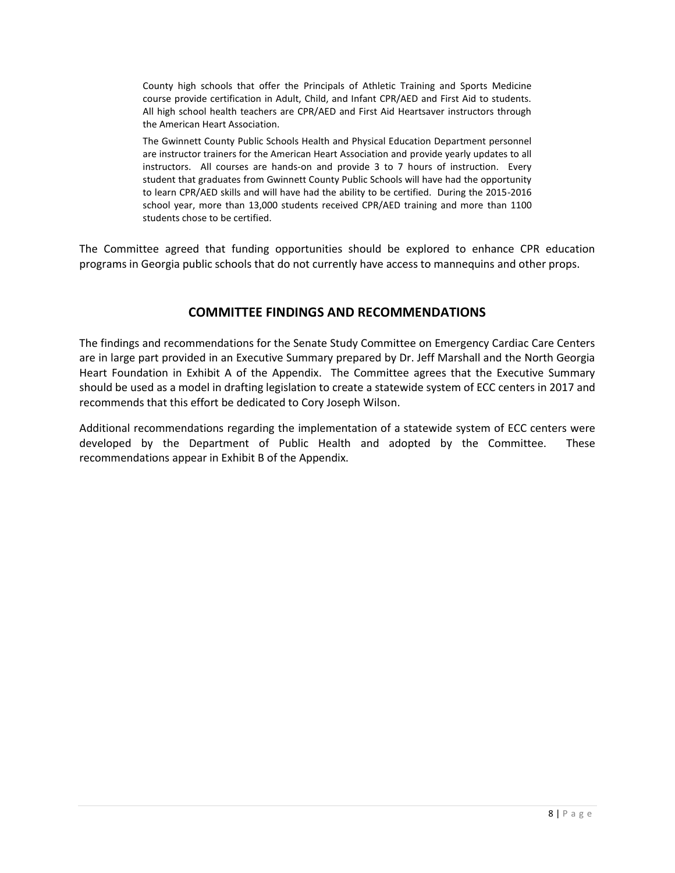County high schools that offer the Principals of Athletic Training and Sports Medicine course provide certification in Adult, Child, and Infant CPR/AED and First Aid to students. All high school health teachers are CPR/AED and First Aid Heartsaver instructors through the American Heart Association.

The Gwinnett County Public Schools Health and Physical Education Department personnel are instructor trainers for the American Heart Association and provide yearly updates to all instructors. All courses are hands-on and provide 3 to 7 hours of instruction. Every student that graduates from Gwinnett County Public Schools will have had the opportunity to learn CPR/AED skills and will have had the ability to be certified. During the 2015-2016 school year, more than 13,000 students received CPR/AED training and more than 1100 students chose to be certified.

The Committee agreed that funding opportunities should be explored to enhance CPR education programs in Georgia public schools that do not currently have access to mannequins and other props.

## **COMMITTEE FINDINGS AND RECOMMENDATIONS**

The findings and recommendations for the Senate Study Committee on Emergency Cardiac Care Centers are in large part provided in an Executive Summary prepared by Dr. Jeff Marshall and the North Georgia Heart Foundation in Exhibit A of the Appendix. The Committee agrees that the Executive Summary should be used as a model in drafting legislation to create a statewide system of ECC centers in 2017 and recommends that this effort be dedicated to Cory Joseph Wilson.

Additional recommendations regarding the implementation of a statewide system of ECC centers were developed by the Department of Public Health and adopted by the Committee. These recommendations appear in Exhibit B of the Appendix.